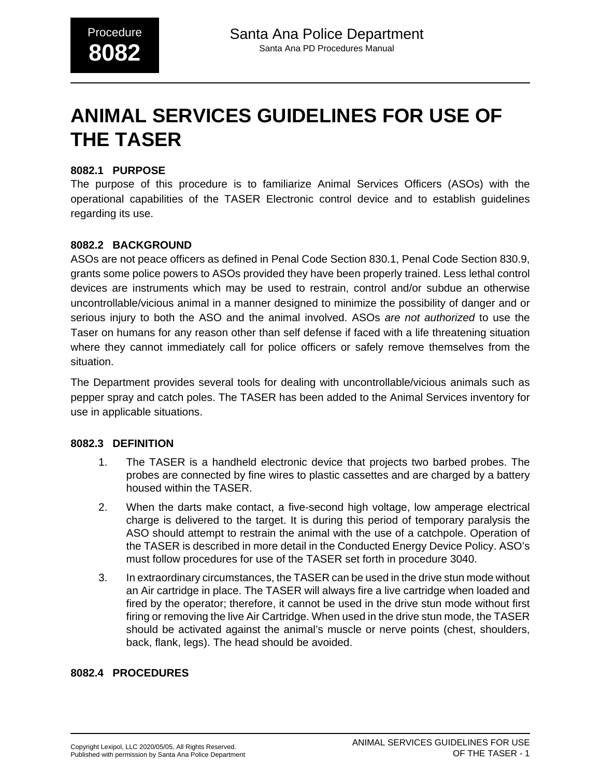# **ANIMAL SERVICES GUIDELINES FOR USE OF THE TASER**

### **8082.1 PURPOSE**

The purpose of this procedure is to familiarize Animal Services Officers (ASOs) with the operational capabilities of the TASER Electronic control device and to establish guidelines regarding its use.

#### **8082.2 BACKGROUND**

ASOs are not peace officers as defined in Penal Code Section 830.1, Penal Code Section 830.9, grants some police powers to ASOs provided they have been properly trained. Less lethal control devices are instruments which may be used to restrain, control and/or subdue an otherwise uncontrollable/vicious animal in a manner designed to minimize the possibility of danger and or serious injury to both the ASO and the animal involved. ASOs are not authorized to use the Taser on humans for any reason other than self defense if faced with a life threatening situation where they cannot immediately call for police officers or safely remove themselves from the situation.

The Department provides several tools for dealing with uncontrollable/vicious animals such as pepper spray and catch poles. The TASER has been added to the Animal Services inventory for use in applicable situations.

#### **8082.3 DEFINITION**

- 1. The TASER is a handheld electronic device that projects two barbed probes. The probes are connected by fine wires to plastic cassettes and are charged by a battery housed within the TASER.
- 2. When the darts make contact, a five-second high voltage, low amperage electrical charge is delivered to the target. It is during this period of temporary paralysis the ASO should attempt to restrain the animal with the use of a catchpole. Operation of the TASER is described in more detail in the Conducted Energy Device Policy. ASO's must follow procedures for use of the TASER set forth in procedure 3040.
- 3. In extraordinary circumstances, the TASER can be used in the drive stun mode without an Air cartridge in place. The TASER will always fire a live cartridge when loaded and fired by the operator; therefore, it cannot be used in the drive stun mode without first firing or removing the live Air Cartridge. When used in the drive stun mode, the TASER should be activated against the animal's muscle or nerve points (chest, shoulders, back, flank, legs). The head should be avoided.

## **8082.4 PROCEDURES**